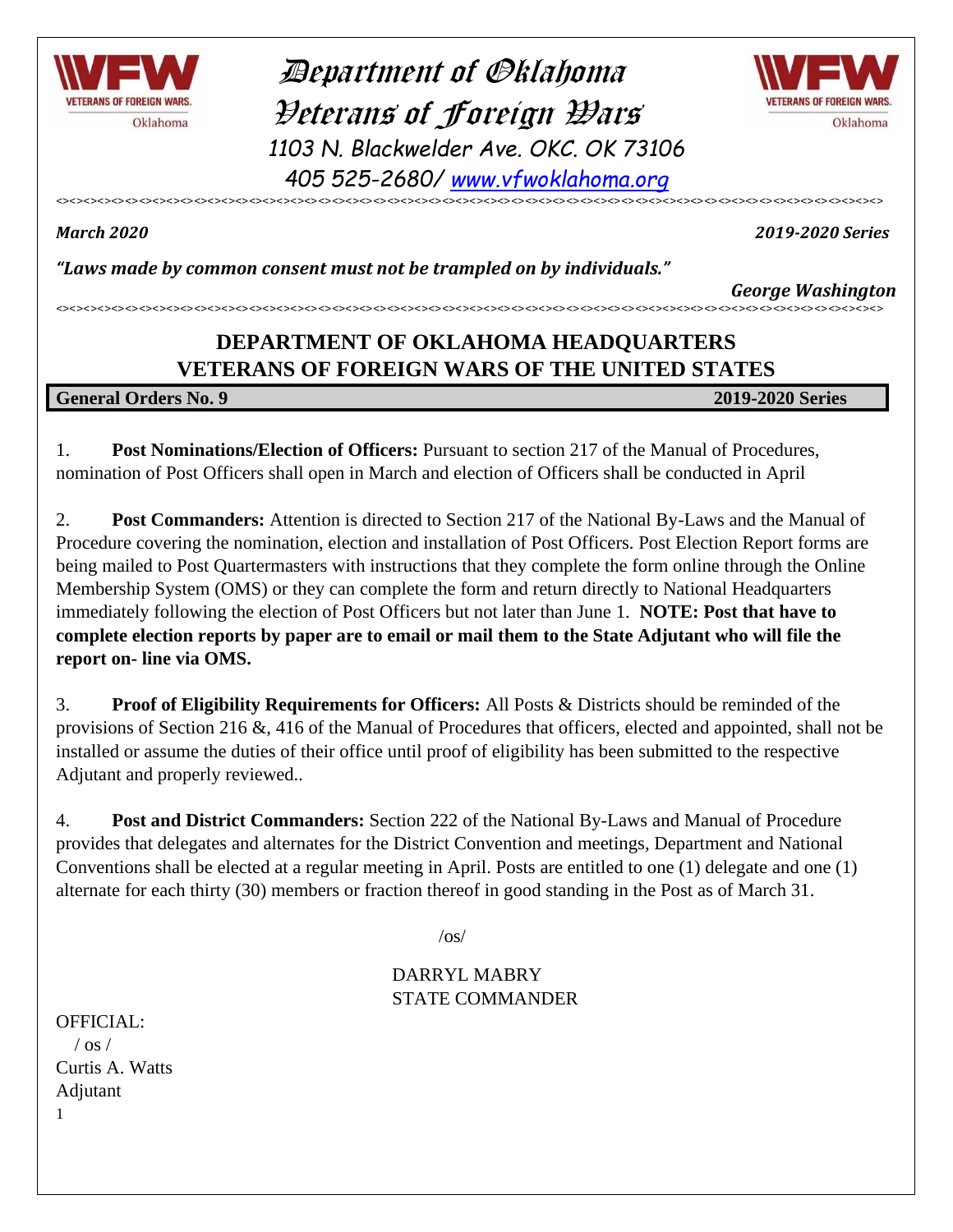

 Department of Oklahoma Veterans of Foreign Wars *1103 N. Blackwelder Ave. OKC. OK 73106 405 525-2680/ [www.vfwoklahoma.org](http://www.vfwoklahoma.org/)*



<><><><><><><><><><><><><><><><><><><><><><><><><><><><><><><><><><><><><><><><><><><><><><><><><><><><><><><><><><><><>

*March 2020 2019-2020 Series*

*"Laws made by common consent must not be trampled on by individuals."*

*George Washington* <><><><><><><><><><><><><><><><><><><><><><><><><><><><><><><><><><><><><><><><><><><><><><><><><><><><><><><><><><><><>

#### **DEPARTMENT OF OKLAHOMA HEADQUARTERS VETERANS OF FOREIGN WARS OF THE UNITED STATES**

**General Orders No. 9 2019-2020 Series**

1. **Post Nominations/Election of Officers:** Pursuant to section 217 of the Manual of Procedures, nomination of Post Officers shall open in March and election of Officers shall be conducted in April

2. **Post Commanders:** Attention is directed to Section 217 of the National By-Laws and the Manual of Procedure covering the nomination, election and installation of Post Officers. Post Election Report forms are being mailed to Post Quartermasters with instructions that they complete the form online through the Online Membership System (OMS) or they can complete the form and return directly to National Headquarters immediately following the election of Post Officers but not later than June 1. **NOTE: Post that have to complete election reports by paper are to email or mail them to the State Adjutant who will file the report on- line via OMS.**

3. **Proof of Eligibility Requirements for Officers:** All Posts & Districts should be reminded of the provisions of Section 216 &, 416 of the Manual of Procedures that officers, elected and appointed, shall not be installed or assume the duties of their office until proof of eligibility has been submitted to the respective Adjutant and properly reviewed..

4. **Post and District Commanders:** Section 222 of the National By-Laws and Manual of Procedure provides that delegates and alternates for the District Convention and meetings, Department and National Conventions shall be elected at a regular meeting in April. Posts are entitled to one (1) delegate and one (1) alternate for each thirty (30) members or fraction thereof in good standing in the Post as of March 31.

 $\sqrt{os/}$ 

#### DARRYL MABRY STATE COMMANDER

1 OFFICIAL:  $/$  os  $/$ Curtis A. Watts Adjutant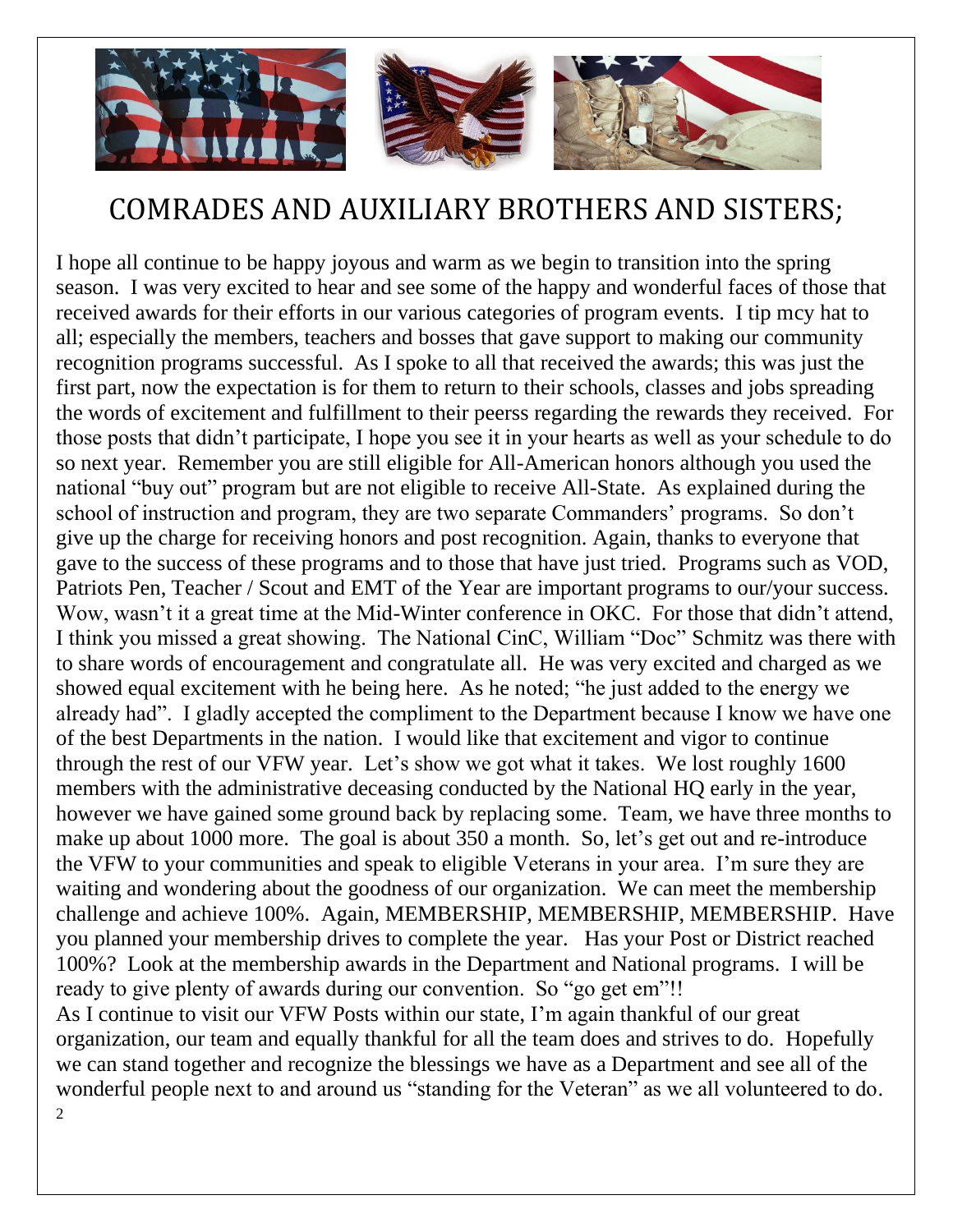

### COMRADES AND AUXILIARY BROTHERS AND SISTERS;

 $\overline{2}$ I hope all continue to be happy joyous and warm as we begin to transition into the spring season. I was very excited to hear and see some of the happy and wonderful faces of those that received awards for their efforts in our various categories of program events. I tip mcy hat to all; especially the members, teachers and bosses that gave support to making our community recognition programs successful. As I spoke to all that received the awards; this was just the first part, now the expectation is for them to return to their schools, classes and jobs spreading the words of excitement and fulfillment to their peerss regarding the rewards they received. For those posts that didn't participate, I hope you see it in your hearts as well as your schedule to do so next year. Remember you are still eligible for All-American honors although you used the national "buy out" program but are not eligible to receive All-State. As explained during the school of instruction and program, they are two separate Commanders' programs. So don't give up the charge for receiving honors and post recognition. Again, thanks to everyone that gave to the success of these programs and to those that have just tried. Programs such as VOD, Patriots Pen, Teacher / Scout and EMT of the Year are important programs to our/your success. Wow, wasn't it a great time at the Mid-Winter conference in OKC. For those that didn't attend, I think you missed a great showing. The National CinC, William "Doc" Schmitz was there with to share words of encouragement and congratulate all. He was very excited and charged as we showed equal excitement with he being here. As he noted; "he just added to the energy we already had". I gladly accepted the compliment to the Department because I know we have one of the best Departments in the nation. I would like that excitement and vigor to continue through the rest of our VFW year. Let's show we got what it takes. We lost roughly 1600 members with the administrative deceasing conducted by the National HQ early in the year, however we have gained some ground back by replacing some. Team, we have three months to make up about 1000 more. The goal is about 350 a month. So, let's get out and re-introduce the VFW to your communities and speak to eligible Veterans in your area. I'm sure they are waiting and wondering about the goodness of our organization. We can meet the membership challenge and achieve 100%. Again, MEMBERSHIP, MEMBERSHIP, MEMBERSHIP. Have you planned your membership drives to complete the year. Has your Post or District reached 100%? Look at the membership awards in the Department and National programs. I will be ready to give plenty of awards during our convention. So "go get em"!! As I continue to visit our VFW Posts within our state, I'm again thankful of our great organization, our team and equally thankful for all the team does and strives to do. Hopefully we can stand together and recognize the blessings we have as a Department and see all of the wonderful people next to and around us "standing for the Veteran" as we all volunteered to do.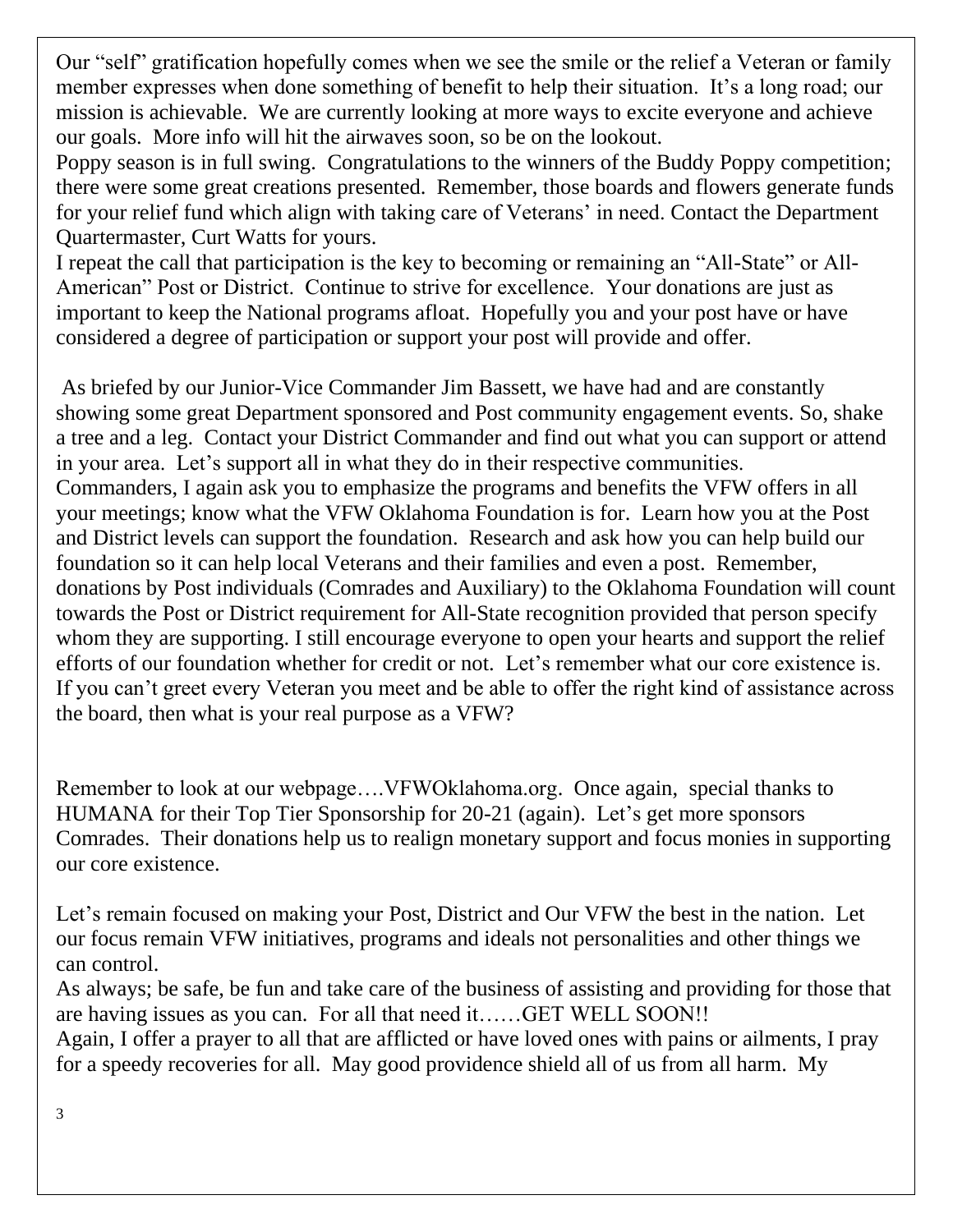Our "self" gratification hopefully comes when we see the smile or the relief a Veteran or family member expresses when done something of benefit to help their situation. It's a long road; our mission is achievable. We are currently looking at more ways to excite everyone and achieve our goals. More info will hit the airwaves soon, so be on the lookout.

Poppy season is in full swing. Congratulations to the winners of the Buddy Poppy competition; there were some great creations presented. Remember, those boards and flowers generate funds for your relief fund which align with taking care of Veterans' in need. Contact the Department Quartermaster, Curt Watts for yours.

I repeat the call that participation is the key to becoming or remaining an "All-State" or All-American" Post or District. Continue to strive for excellence. Your donations are just as important to keep the National programs afloat. Hopefully you and your post have or have considered a degree of participation or support your post will provide and offer.

As briefed by our Junior-Vice Commander Jim Bassett, we have had and are constantly showing some great Department sponsored and Post community engagement events. So, shake a tree and a leg. Contact your District Commander and find out what you can support or attend in your area. Let's support all in what they do in their respective communities. Commanders, I again ask you to emphasize the programs and benefits the VFW offers in all your meetings; know what the VFW Oklahoma Foundation is for. Learn how you at the Post and District levels can support the foundation. Research and ask how you can help build our foundation so it can help local Veterans and their families and even a post. Remember, donations by Post individuals (Comrades and Auxiliary) to the Oklahoma Foundation will count towards the Post or District requirement for All-State recognition provided that person specify whom they are supporting. I still encourage everyone to open your hearts and support the relief efforts of our foundation whether for credit or not. Let's remember what our core existence is. If you can't greet every Veteran you meet and be able to offer the right kind of assistance across the board, then what is your real purpose as a VFW?

Remember to look at our webpage….VFWOklahoma.org. Once again, special thanks to HUMANA for their Top Tier Sponsorship for 20-21 (again). Let's get more sponsors Comrades. Their donations help us to realign monetary support and focus monies in supporting our core existence.

Let's remain focused on making your Post, District and Our VFW the best in the nation. Let our focus remain VFW initiatives, programs and ideals not personalities and other things we can control.

As always; be safe, be fun and take care of the business of assisting and providing for those that are having issues as you can. For all that need it……GET WELL SOON!!

Again, I offer a prayer to all that are afflicted or have loved ones with pains or ailments, I pray for a speedy recoveries for all. May good providence shield all of us from all harm. My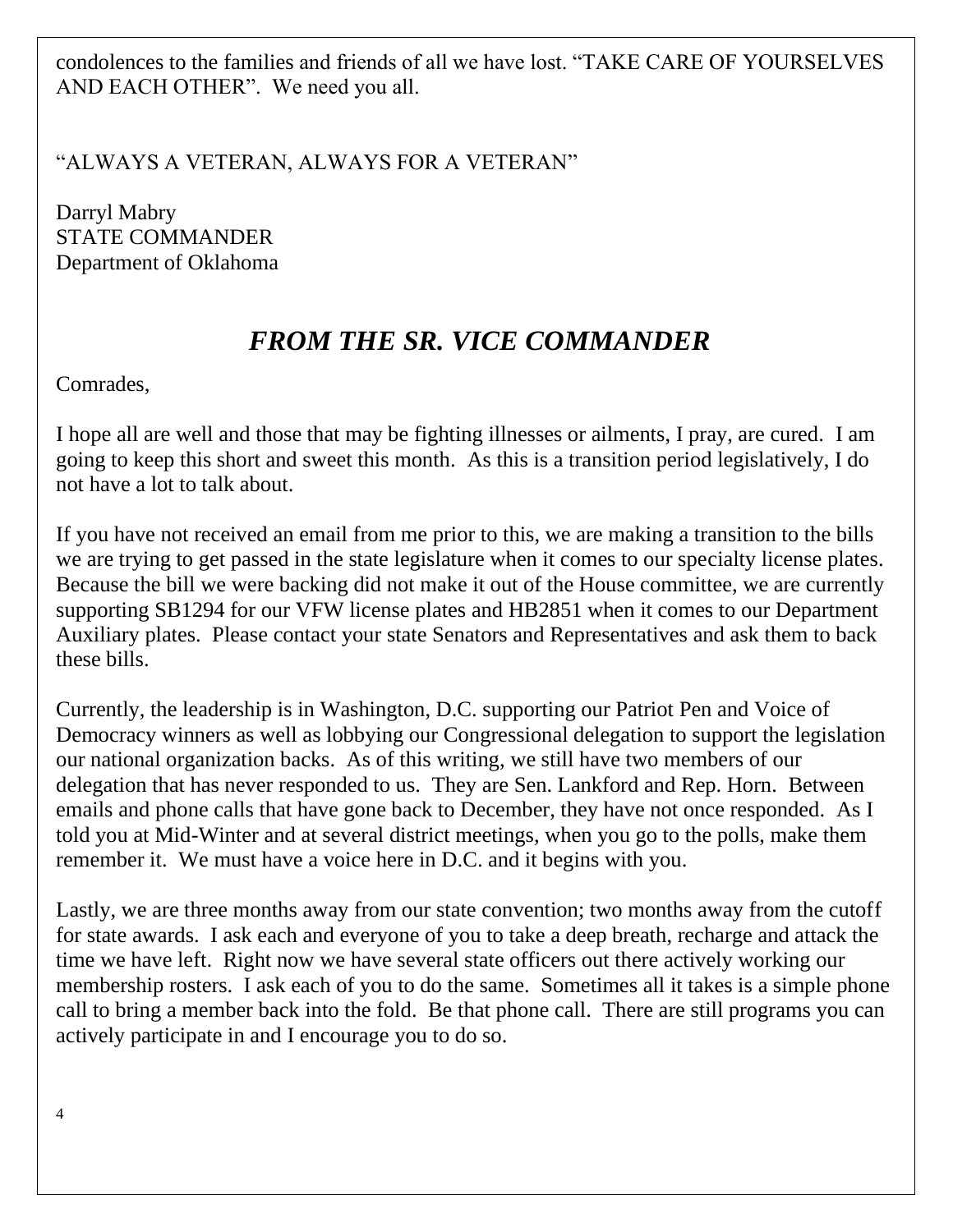condolences to the families and friends of all we have lost. "TAKE CARE OF YOURSELVES AND EACH OTHER". We need you all.

"ALWAYS A VETERAN, ALWAYS FOR A VETERAN"

Darryl Mabry STATE COMMANDER Department of Oklahoma

### *FROM THE SR. VICE COMMANDER*

Comrades,

I hope all are well and those that may be fighting illnesses or ailments, I pray, are cured. I am going to keep this short and sweet this month. As this is a transition period legislatively, I do not have a lot to talk about.

If you have not received an email from me prior to this, we are making a transition to the bills we are trying to get passed in the state legislature when it comes to our specialty license plates. Because the bill we were backing did not make it out of the House committee, we are currently supporting SB1294 for our VFW license plates and HB2851 when it comes to our Department Auxiliary plates. Please contact your state Senators and Representatives and ask them to back these bills.

Currently, the leadership is in Washington, D.C. supporting our Patriot Pen and Voice of Democracy winners as well as lobbying our Congressional delegation to support the legislation our national organization backs. As of this writing, we still have two members of our delegation that has never responded to us. They are Sen. Lankford and Rep. Horn. Between emails and phone calls that have gone back to December, they have not once responded. As I told you at Mid-Winter and at several district meetings, when you go to the polls, make them remember it. We must have a voice here in D.C. and it begins with you.

Lastly, we are three months away from our state convention; two months away from the cutoff for state awards. I ask each and everyone of you to take a deep breath, recharge and attack the time we have left. Right now we have several state officers out there actively working our membership rosters. I ask each of you to do the same. Sometimes all it takes is a simple phone call to bring a member back into the fold. Be that phone call. There are still programs you can actively participate in and I encourage you to do so.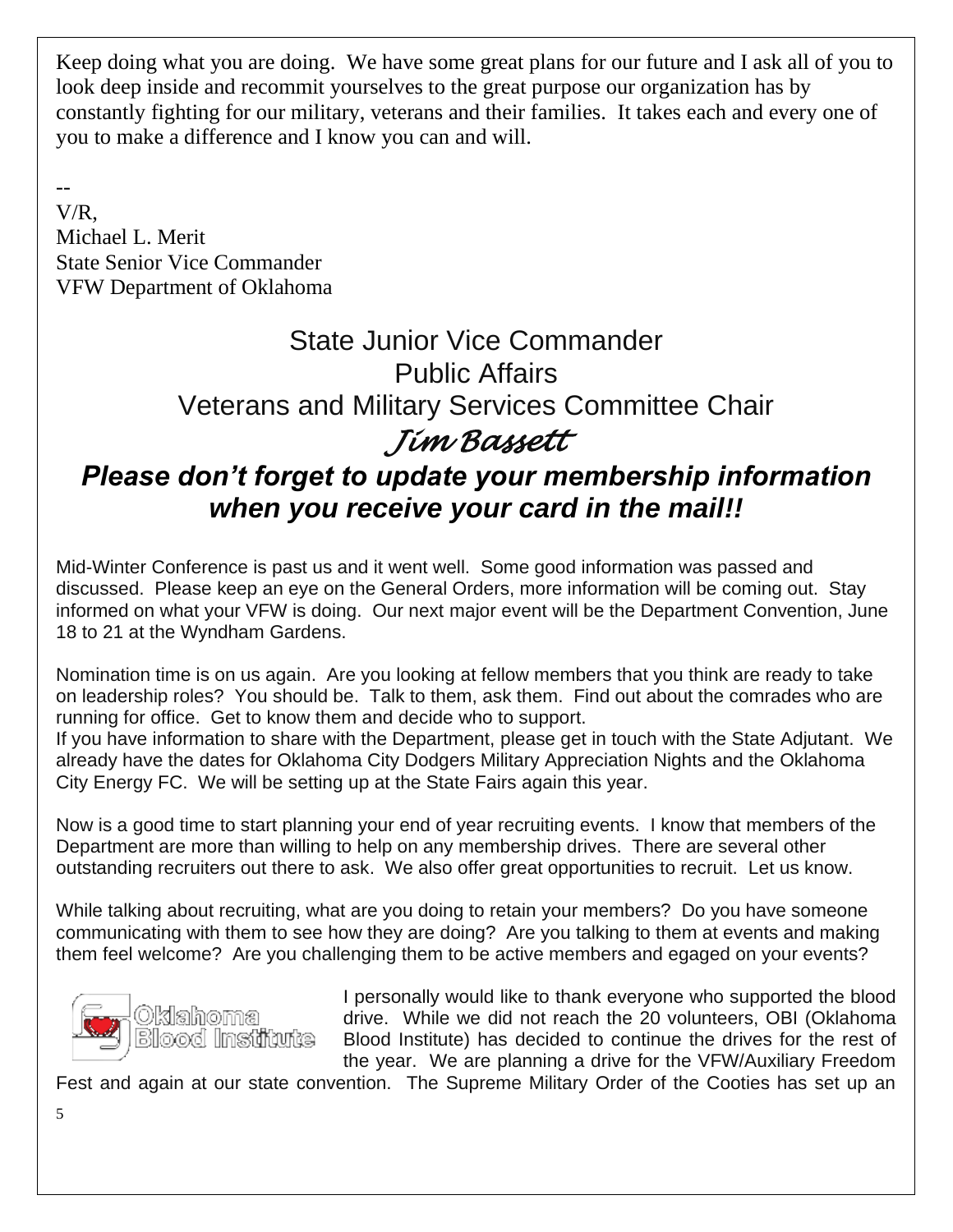Keep doing what you are doing. We have some great plans for our future and I ask all of you to look deep inside and recommit yourselves to the great purpose our organization has by constantly fighting for our military, veterans and their families. It takes each and every one of you to make a difference and I know you can and will.

--

V/R, Michael L. Merit State Senior Vice Commander VFW Department of Oklahoma

### State Junior Vice Commander Public Affairs Veterans and Military Services Committee Chair *Jim Bassett*

### *Please don't forget to update your membership information when you receive your card in the mail!!*

Mid-Winter Conference is past us and it went well. Some good information was passed and discussed. Please keep an eye on the General Orders, more information will be coming out. Stay informed on what your VFW is doing. Our next major event will be the Department Convention, June 18 to 21 at the Wyndham Gardens.

Nomination time is on us again. Are you looking at fellow members that you think are ready to take on leadership roles? You should be. Talk to them, ask them. Find out about the comrades who are running for office. Get to know them and decide who to support.

If you have information to share with the Department, please get in touch with the State Adjutant. We already have the dates for Oklahoma City Dodgers Military Appreciation Nights and the Oklahoma City Energy FC. We will be setting up at the State Fairs again this year.

Now is a good time to start planning your end of year recruiting events. I know that members of the Department are more than willing to help on any membership drives. There are several other outstanding recruiters out there to ask. We also offer great opportunities to recruit. Let us know.

While talking about recruiting, what are you doing to retain your members? Do you have someone communicating with them to see how they are doing? Are you talking to them at events and making them feel welcome? Are you challenging them to be active members and egaged on your events?



I personally would like to thank everyone who supported the blood drive. While we did not reach the 20 volunteers, OBI (Oklahoma Blood Institute) has decided to continue the drives for the rest of the year. We are planning a drive for the VFW/Auxiliary Freedom

Fest and again at our state convention. The Supreme Military Order of the Cooties has set up an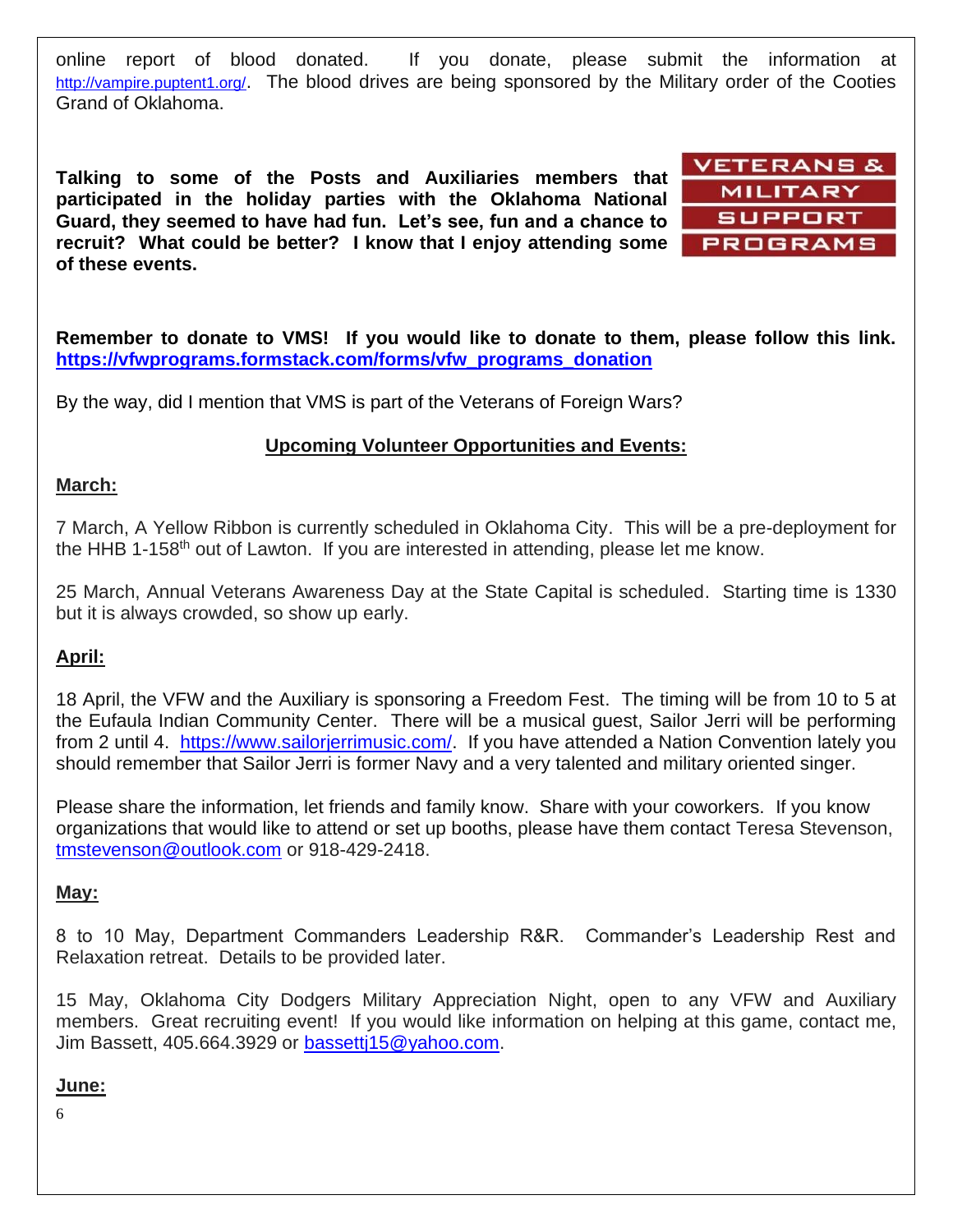online report of blood donated. If you donate, please submit the information at <http://vampire.puptent1.org/>. The blood drives are being sponsored by the Military order of the Cooties Grand of Oklahoma.

**Talking to some of the Posts and Auxiliaries members that participated in the holiday parties with the Oklahoma National Guard, they seemed to have had fun. Let's see, fun and a chance to recruit? What could be better? I know that I enjoy attending some of these events.** 



**Remember to donate to VMS! If you would like to donate to them, please follow this link. [https://vfwprograms.formstack.com/forms/vfw\\_programs\\_donation](https://vfwprograms.formstack.com/forms/vfw_programs_donation)**

By the way, did I mention that VMS is part of the Veterans of Foreign Wars?

#### **Upcoming Volunteer Opportunities and Events:**

#### **March:**

7 March, A Yellow Ribbon is currently scheduled in Oklahoma City. This will be a pre-deployment for the HHB 1-158<sup>th</sup> out of Lawton. If you are interested in attending, please let me know.

25 March, Annual Veterans Awareness Day at the State Capital is scheduled. Starting time is 1330 but it is always crowded, so show up early.

#### **April:**

18 April, the VFW and the Auxiliary is sponsoring a Freedom Fest. The timing will be from 10 to 5 at the Eufaula Indian Community Center. There will be a musical guest, Sailor Jerri will be performing from 2 until 4. [https://www.sailorjerrimusic.com/.](https://www.sailorjerrimusic.com/) If you have attended a Nation Convention lately you should remember that Sailor Jerri is former Navy and a very talented and military oriented singer.

Please share the information, let friends and family know. Share with your coworkers. If you know organizations that would like to attend or set up booths, please have them contact Teresa Stevenson, [tmstevenson@outlook.com](mailto:tmstevenson@outlook.com) or 918-429-2418.

#### **May:**

8 to 10 May, Department Commanders Leadership R&R. Commander's Leadership Rest and Relaxation retreat. Details to be provided later.

15 May, Oklahoma City Dodgers Military Appreciation Night, open to any VFW and Auxiliary members. Great recruiting event! If you would like information on helping at this game, contact me, Jim Bassett, 405.664.3929 or bassetti15@yahoo.com.

#### **June:**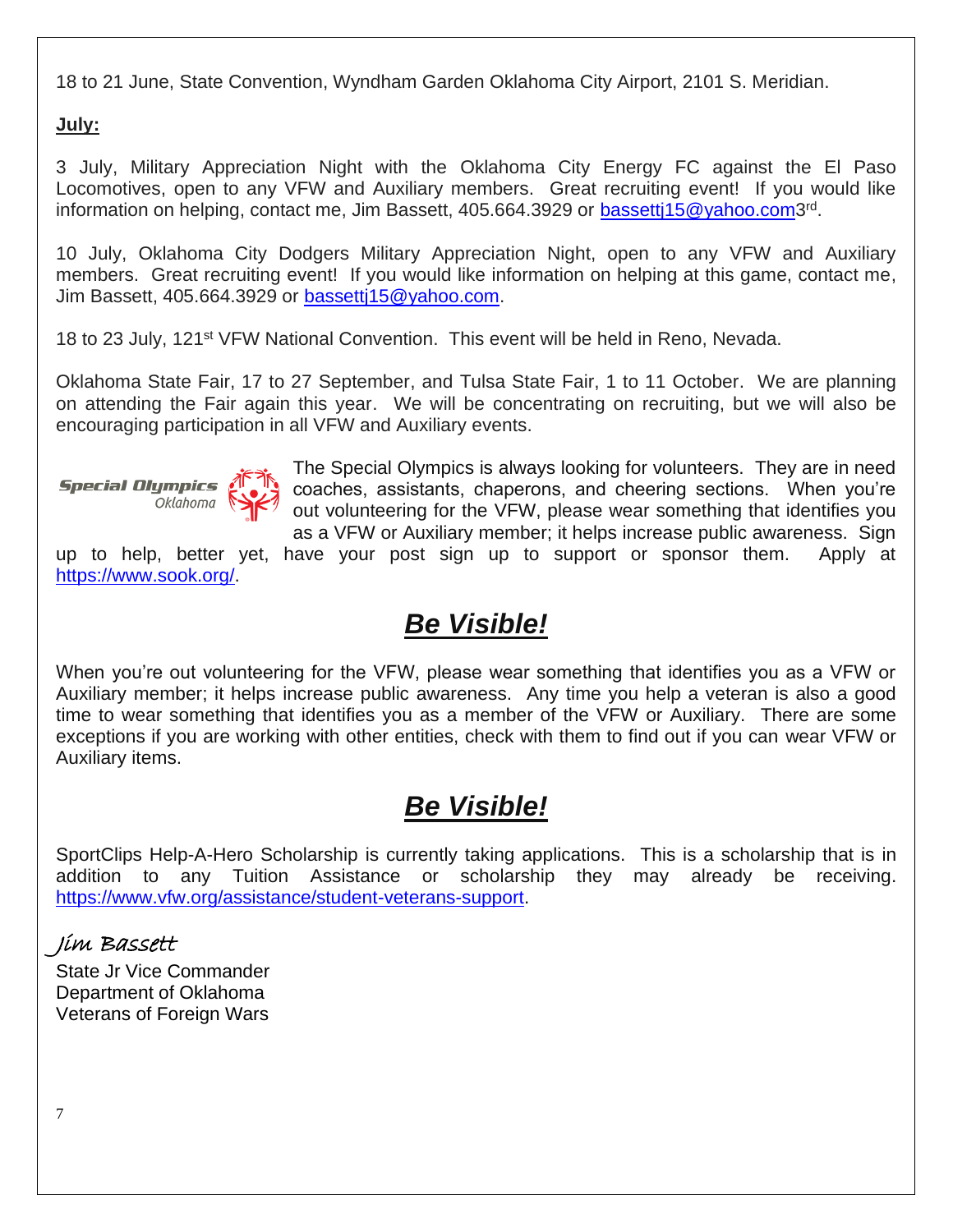18 to 21 June, State Convention, Wyndham Garden Oklahoma City Airport, 2101 S. Meridian.

**July:**

3 July, Military Appreciation Night with the Oklahoma City Energy FC against the El Paso Locomotives, open to any VFW and Auxiliary members. Great recruiting event! If you would like information on helping, contact me, Jim Bassett, 405.664.3929 or **bassetti15@yahoo.com3**<sup>rd</sup>.

10 July, Oklahoma City Dodgers Military Appreciation Night, open to any VFW and Auxiliary members. Great recruiting event! If you would like information on helping at this game, contact me, Jim Bassett, 405.664.3929 or [bassettj15@yahoo.com.](mailto:bassettj15@yahoo.com)

18 to 23 July, 121<sup>st</sup> VFW National Convention. This event will be held in Reno, Nevada.

Oklahoma State Fair, 17 to 27 September, and Tulsa State Fair, 1 to 11 October. We are planning on attending the Fair again this year. We will be concentrating on recruiting, but we will also be encouraging participation in all VFW and Auxiliary events.



The Special Olympics is always looking for volunteers. They are in need coaches, assistants, chaperons, and cheering sections. When you're out volunteering for the VFW, please wear something that identifies you as a VFW or Auxiliary member; it helps increase public awareness. Sign

up to help, better yet, have your post sign up to support or sponsor them. Apply at [https://www.sook.org/.](https://www.sook.org/)

### *Be Visible!*

When you're out volunteering for the VFW, please wear something that identifies you as a VFW or Auxiliary member; it helps increase public awareness. Any time you help a veteran is also a good time to wear something that identifies you as a member of the VFW or Auxiliary. There are some exceptions if you are working with other entities, check with them to find out if you can wear VFW or Auxiliary items.

### *Be Visible!*

SportClips Help-A-Hero Scholarship is currently taking applications. This is a scholarship that is in addition to any Tuition Assistance or scholarship they may already be receiving. [https://www.vfw.org/assistance/student-veterans-support.](https://www.vfw.org/assistance/student-veterans-support)

### Jim Bassett

State Jr Vice Commander Department of Oklahoma Veterans of Foreign Wars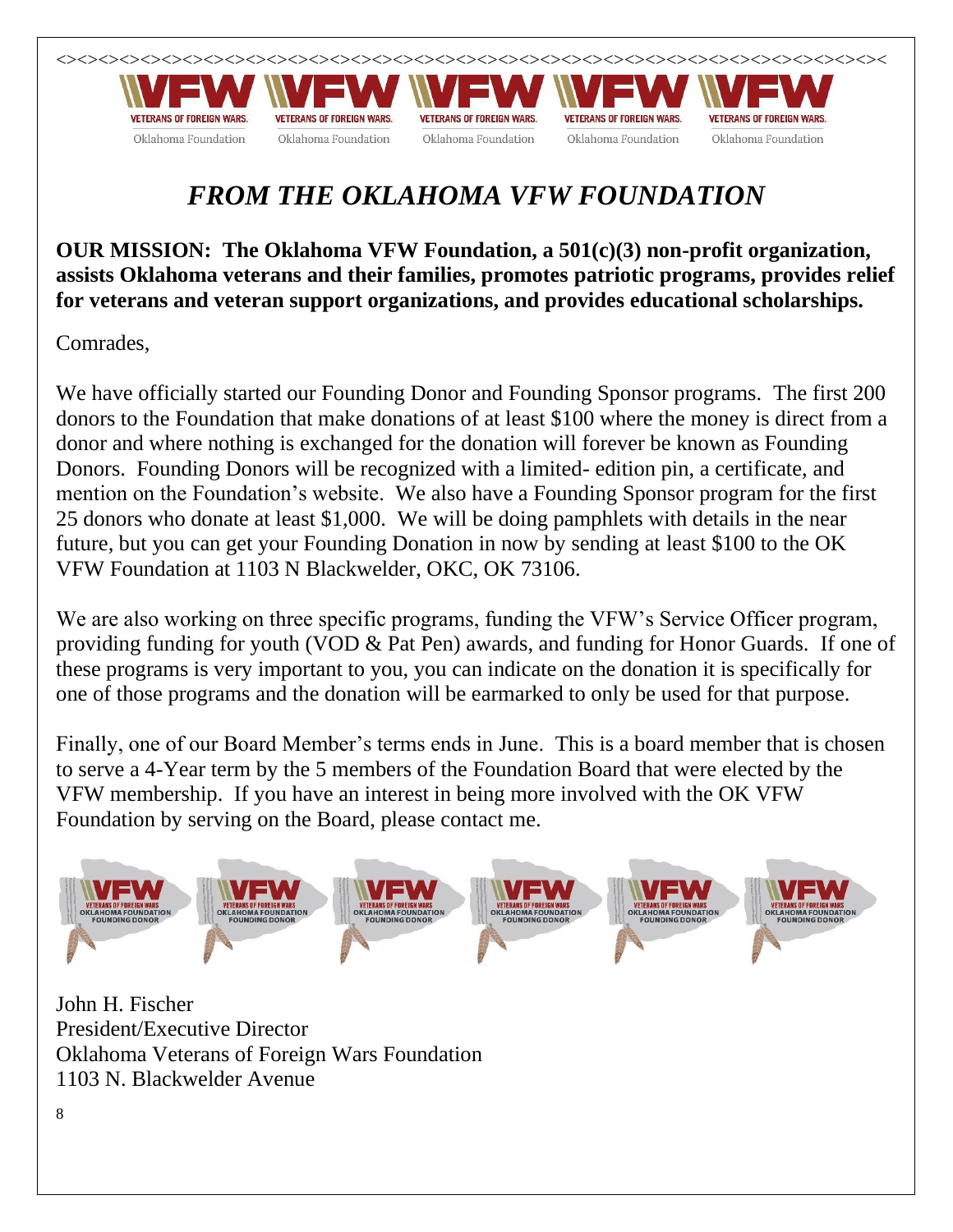

### *FROM THE OKLAHOMA VFW FOUNDATION*

**OUR MISSION: The Oklahoma VFW Foundation, a 501(c)(3) non-profit organization, assists Oklahoma veterans and their families, promotes patriotic programs, provides relief for veterans and veteran support organizations, and provides educational scholarships.**

Comrades,

We have officially started our Founding Donor and Founding Sponsor programs. The first 200 donors to the Foundation that make donations of at least \$100 where the money is direct from a donor and where nothing is exchanged for the donation will forever be known as Founding Donors. Founding Donors will be recognized with a limited- edition pin, a certificate, and mention on the Foundation's website. We also have a Founding Sponsor program for the first 25 donors who donate at least \$1,000. We will be doing pamphlets with details in the near future, but you can get your Founding Donation in now by sending at least \$100 to the OK VFW Foundation at 1103 N Blackwelder, OKC, OK 73106.

We are also working on three specific programs, funding the VFW's Service Officer program, providing funding for youth (VOD & Pat Pen) awards, and funding for Honor Guards. If one of these programs is very important to you, you can indicate on the donation it is specifically for one of those programs and the donation will be earmarked to only be used for that purpose.

Finally, one of our Board Member's terms ends in June. This is a board member that is chosen to serve a 4-Year term by the 5 members of the Foundation Board that were elected by the VFW membership. If you have an interest in being more involved with the OK VFW Foundation by serving on the Board, please contact me.



John H. Fischer President/Executive Director Oklahoma Veterans of Foreign Wars Foundation 1103 N. Blackwelder Avenue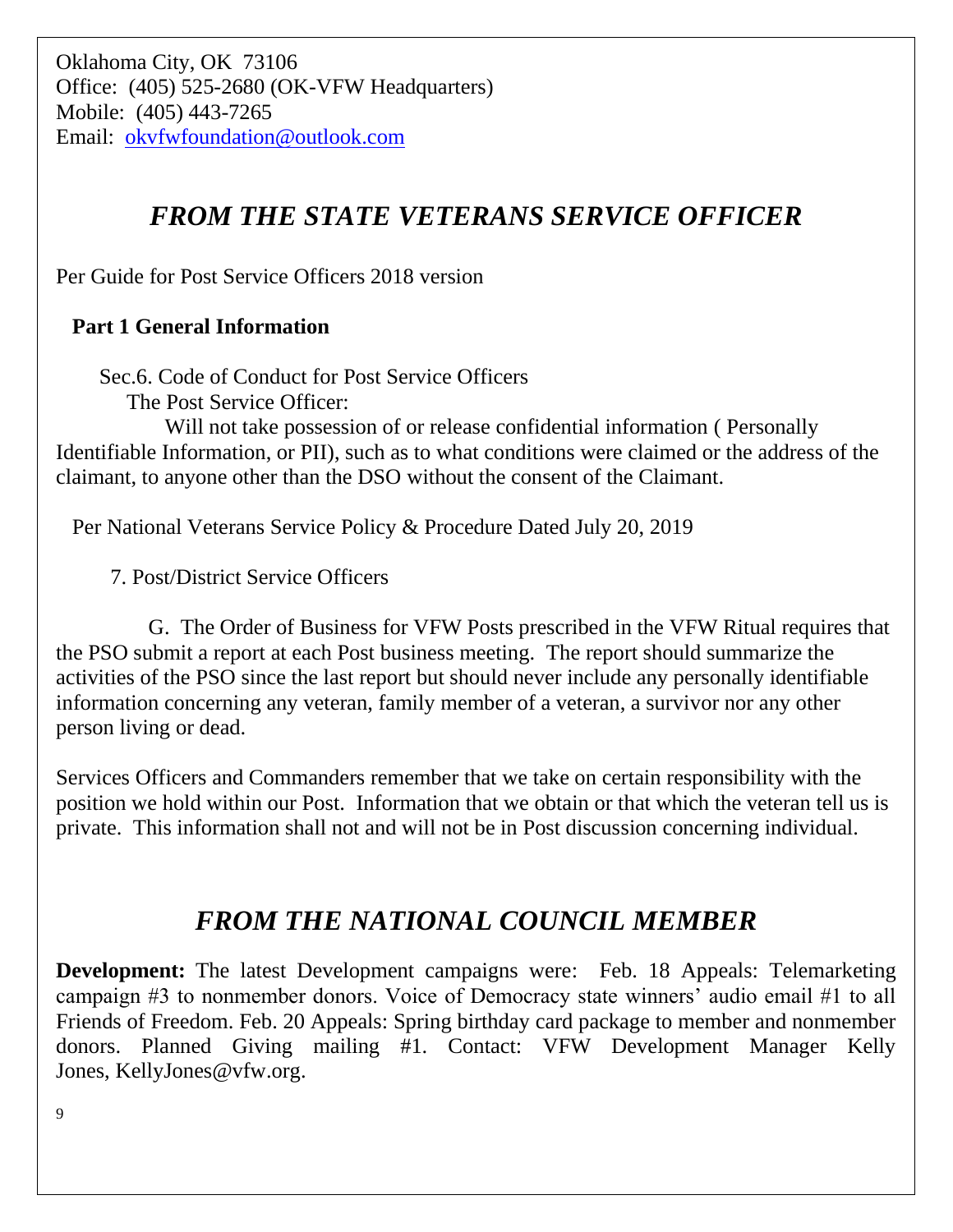### *FROM THE STATE VETERANS SERVICE OFFICER*

Per Guide for Post Service Officers 2018 version

### **Part 1 General Information**

Sec.6. Code of Conduct for Post Service Officers

The Post Service Officer:

 Will not take possession of or release confidential information ( Personally Identifiable Information, or PII), such as to what conditions were claimed or the address of the claimant, to anyone other than the DSO without the consent of the Claimant.

Per National Veterans Service Policy & Procedure Dated July 20, 2019

7. Post/District Service Officers

 G. The Order of Business for VFW Posts prescribed in the VFW Ritual requires that the PSO submit a report at each Post business meeting. The report should summarize the activities of the PSO since the last report but should never include any personally identifiable information concerning any veteran, family member of a veteran, a survivor nor any other person living or dead.

Services Officers and Commanders remember that we take on certain responsibility with the position we hold within our Post. Information that we obtain or that which the veteran tell us is private. This information shall not and will not be in Post discussion concerning individual.

### *FROM THE NATIONAL COUNCIL MEMBER*

**Development:** The latest Development campaigns were: Feb. 18 Appeals: Telemarketing campaign #3 to nonmember donors. Voice of Democracy state winners' audio email #1 to all Friends of Freedom. Feb. 20 Appeals: Spring birthday card package to member and nonmember donors. Planned Giving mailing #1. Contact: VFW Development Manager Kelly Jones, [KellyJones@vfw.org.](mailto:KellyJones@vfw.org)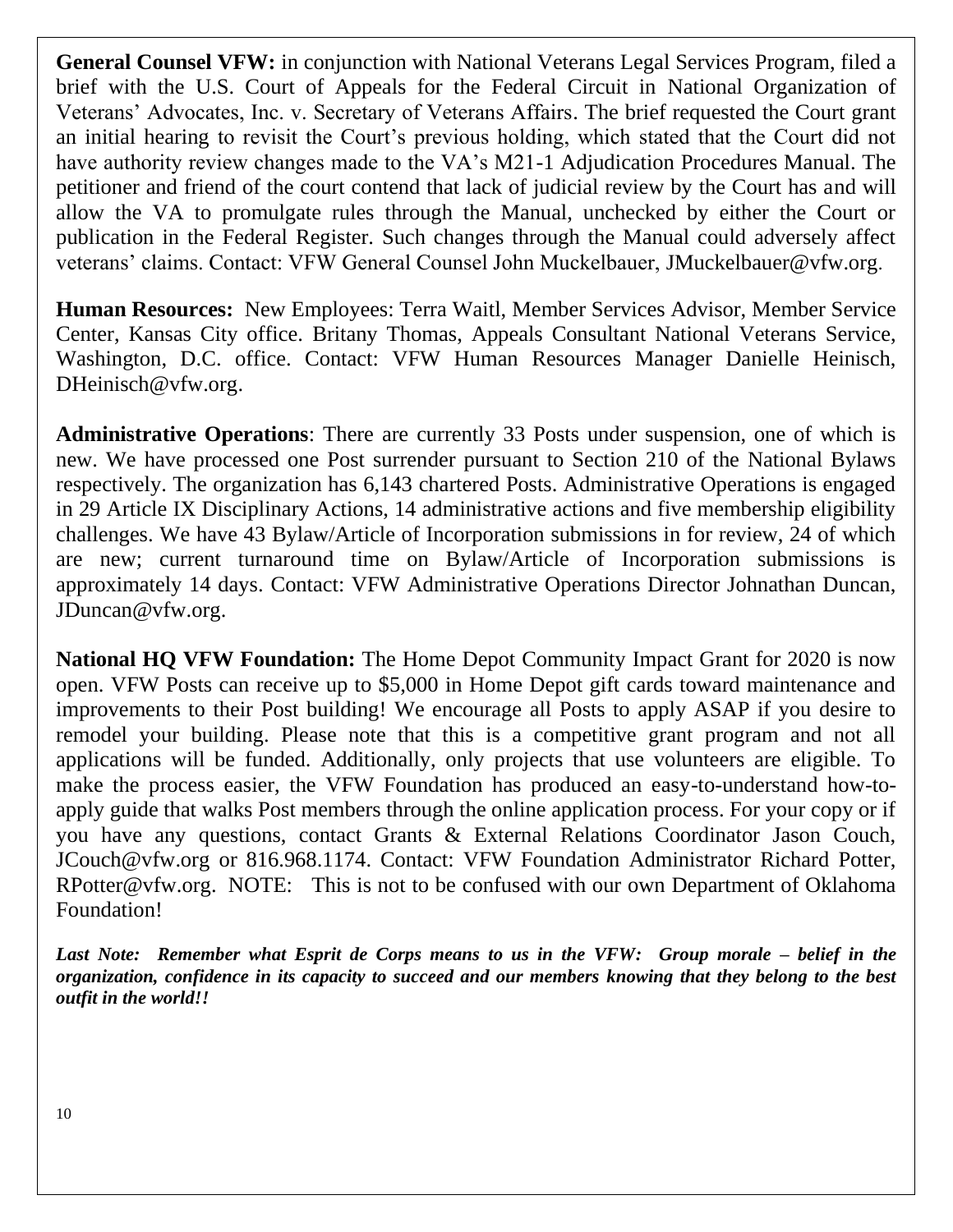**General Counsel VFW:** in conjunction with National Veterans Legal Services Program, filed a brief with the U.S. Court of Appeals for the Federal Circuit in National Organization of Veterans' Advocates, Inc. v. Secretary of Veterans Affairs. The brief requested the Court grant an initial hearing to revisit the Court's previous holding, which stated that the Court did not have authority review changes made to the VA's M21-1 Adjudication Procedures Manual. The petitioner and friend of the court contend that lack of judicial review by the Court has and will allow the VA to promulgate rules through the Manual, unchecked by either the Court or publication in the Federal Register. Such changes through the Manual could adversely affect veterans' claims. Contact: VFW General Counsel John Muckelbauer, [JMuckelbauer@vfw.org](mailto:JMuckelbauer@vfw.org).

**Human Resources:** New Employees: Terra Waitl, Member Services Advisor, Member Service Center, Kansas City office. Britany Thomas, Appeals Consultant National Veterans Service, Washington, D.C. office. Contact: VFW Human Resources Manager Danielle Heinisch, [DHeinisch@vfw.org.](mailto:DHeinisch@vfw.org)

**Administrative Operations**: There are currently 33 Posts under suspension, one of which is new. We have processed one Post surrender pursuant to Section 210 of the National Bylaws respectively. The organization has 6,143 chartered Posts. Administrative Operations is engaged in 29 Article IX Disciplinary Actions, 14 administrative actions and five membership eligibility challenges. We have 43 Bylaw/Article of Incorporation submissions in for review, 24 of which are new; current turnaround time on Bylaw/Article of Incorporation submissions is approximately 14 days. Contact: VFW Administrative Operations Director Johnathan Duncan, [JDuncan@vfw.org.](mailto:JDuncan@vfw.org)

**National HQ VFW Foundation:** The Home Depot Community Impact Grant for 2020 is now open. VFW Posts can receive up to \$5,000 in Home Depot gift cards toward maintenance and improvements to their Post building! We encourage all Posts to apply ASAP if you desire to remodel your building. Please note that this is a competitive grant program and not all applications will be funded. Additionally, only projects that use volunteers are eligible. To make the process easier, the VFW Foundation has produced an easy-to-understand how-toapply guide that walks Post members through the online application process. For your copy or if you have any questions, contact Grants & External Relations Coordinator Jason Couch, [JCouch@vfw.org](mailto:JCouch@vfw.org) or 816.968.1174. Contact: VFW Foundation Administrator Richard Potter, [RPotter@vfw.org.](mailto:RPotter@vfw.org) NOTE: This is not to be confused with our own Department of Oklahoma Foundation!

*Last Note: Remember what Esprit de Corps means to us in the VFW: Group morale – belief in the organization, confidence in its capacity to succeed and our members knowing that they belong to the best outfit in the world!!*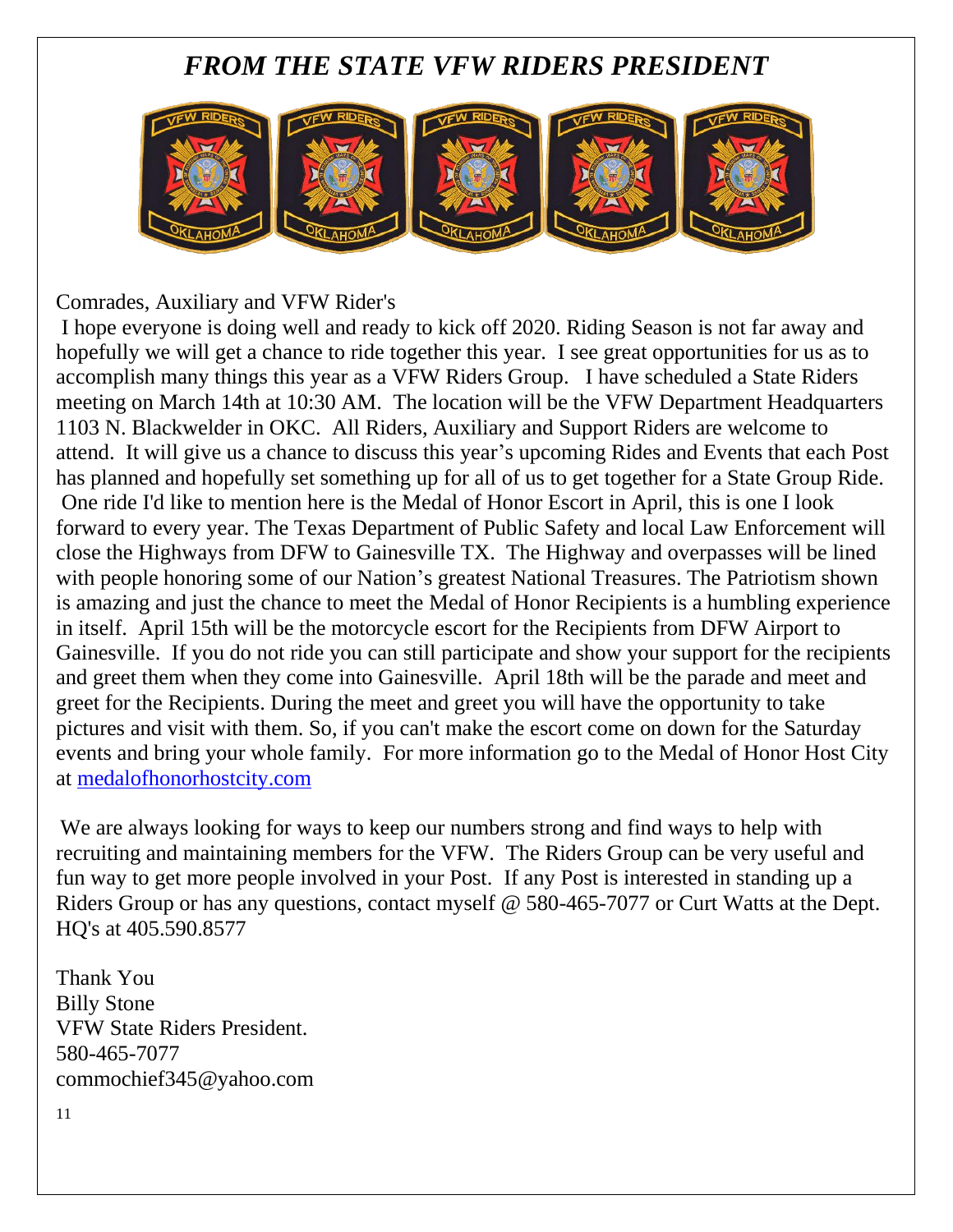### *FROM THE STATE VFW RIDERS PRESIDENT*



Comrades, Auxiliary and VFW Rider's

I hope everyone is doing well and ready to kick off 2020. Riding Season is not far away and hopefully we will get a chance to ride together this year. I see great opportunities for us as to accomplish many things this year as a VFW Riders Group. I have scheduled a State Riders meeting on March 14th at 10:30 AM. The location will be the VFW Department Headquarters 1103 N. Blackwelder in OKC. All Riders, Auxiliary and Support Riders are welcome to attend. It will give us a chance to discuss this year's upcoming Rides and Events that each Post has planned and hopefully set something up for all of us to get together for a State Group Ride. One ride I'd like to mention here is the Medal of Honor Escort in April, this is one I look forward to every year. The Texas Department of Public Safety and local Law Enforcement will close the Highways from DFW to Gainesville TX. The Highway and overpasses will be lined with people honoring some of our Nation's greatest National Treasures. The Patriotism shown is amazing and just the chance to meet the Medal of Honor Recipients is a humbling experience in itself. April 15th will be the motorcycle escort for the Recipients from DFW Airport to Gainesville. If you do not ride you can still participate and show your support for the recipients and greet them when they come into Gainesville. April 18th will be the parade and meet and greet for the Recipients. During the meet and greet you will have the opportunity to take pictures and visit with them. So, if you can't make the escort come on down for the Saturday events and bring your whole family. For more information go to the Medal of Honor Host City at [medalofhonorhostcity.com](http://medalofhonorhostcity.com/) 

We are always looking for ways to keep our numbers strong and find ways to help with recruiting and maintaining members for the VFW. The Riders Group can be very useful and fun way to get more people involved in your Post. If any Post is interested in standing up a Riders Group or has any questions, contact myself @ 580-465-7077 or Curt Watts at the Dept. HQ's at 405.590.8577

Thank You Billy Stone VFW State Riders President. 580-465-7077 [commochief345@yahoo.com](mailto:commochief345@yahoo.com)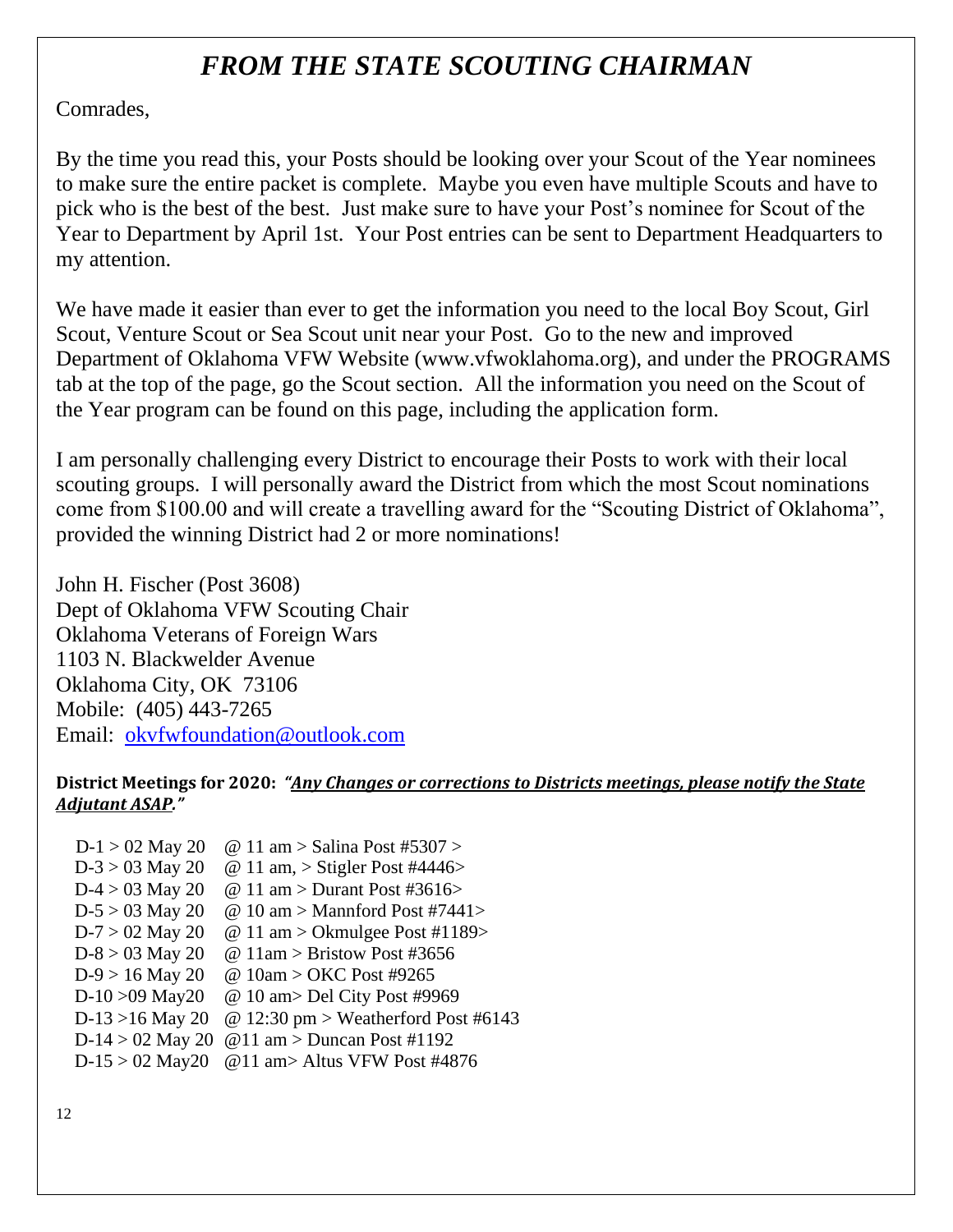### *FROM THE STATE SCOUTING CHAIRMAN*

Comrades,

By the time you read this, your Posts should be looking over your Scout of the Year nominees to make sure the entire packet is complete. Maybe you even have multiple Scouts and have to pick who is the best of the best. Just make sure to have your Post's nominee for Scout of the Year to Department by April 1st. Your Post entries can be sent to Department Headquarters to my attention.

We have made it easier than ever to get the information you need to the local Boy Scout, Girl Scout, Venture Scout or Sea Scout unit near your Post. Go to the new and improved Department of Oklahoma VFW Website [\(www.vfwoklahoma.org\)](http://www.vfwoklahoma.org/), and under the PROGRAMS tab at the top of the page, go the Scout section. All the information you need on the Scout of the Year program can be found on this page, including the application form.

I am personally challenging every District to encourage their Posts to work with their local scouting groups. I will personally award the District from which the most Scout nominations come from \$100.00 and will create a travelling award for the "Scouting District of Oklahoma", provided the winning District had 2 or more nominations!

John H. Fischer (Post 3608) Dept of Oklahoma VFW Scouting Chair Oklahoma Veterans of Foreign Wars 1103 N. Blackwelder Avenue Oklahoma City, OK 73106 Mobile: (405) 443-7265 Email: [okvfwfoundation@outlook.com](mailto:okvfwfoundation@outlook.com)

#### **District Meetings for 2020:** *"Any Changes or corrections to Districts meetings, please notify the State Adjutant ASAP."*

 $D-1 > 02$  May 20 @ 11 am > Salina Post #5307 >  $D-3 > 03$  May 20 @ 11 am,  $>$  Stigler Post #4446 $>$ D-4 > 03 May 20  $\omega$  11 am > Durant Post #3616>  $D-5 > 03$  May 20  $\omega$  10 am > Mannford Post #7441>  $D-7 > 02$  May 20  $\omega$  11 am > Okmulgee Post #1189> D-8 > 03 May 20  $\omega$  11am > Bristow Post #3656 D-9 > 16 May 20 @ 10am > OKC Post #9265 D-10 >09 May20 @ 10 am> Del City Post #9969 D-13 >16 May 20 @ 12:30 pm > Weatherford Post #6143 D-14 > 02 May 20  $\omega$  11 am > Duncan Post #1192 D-15 > 02 May20 @11 am> Altus VFW Post #4876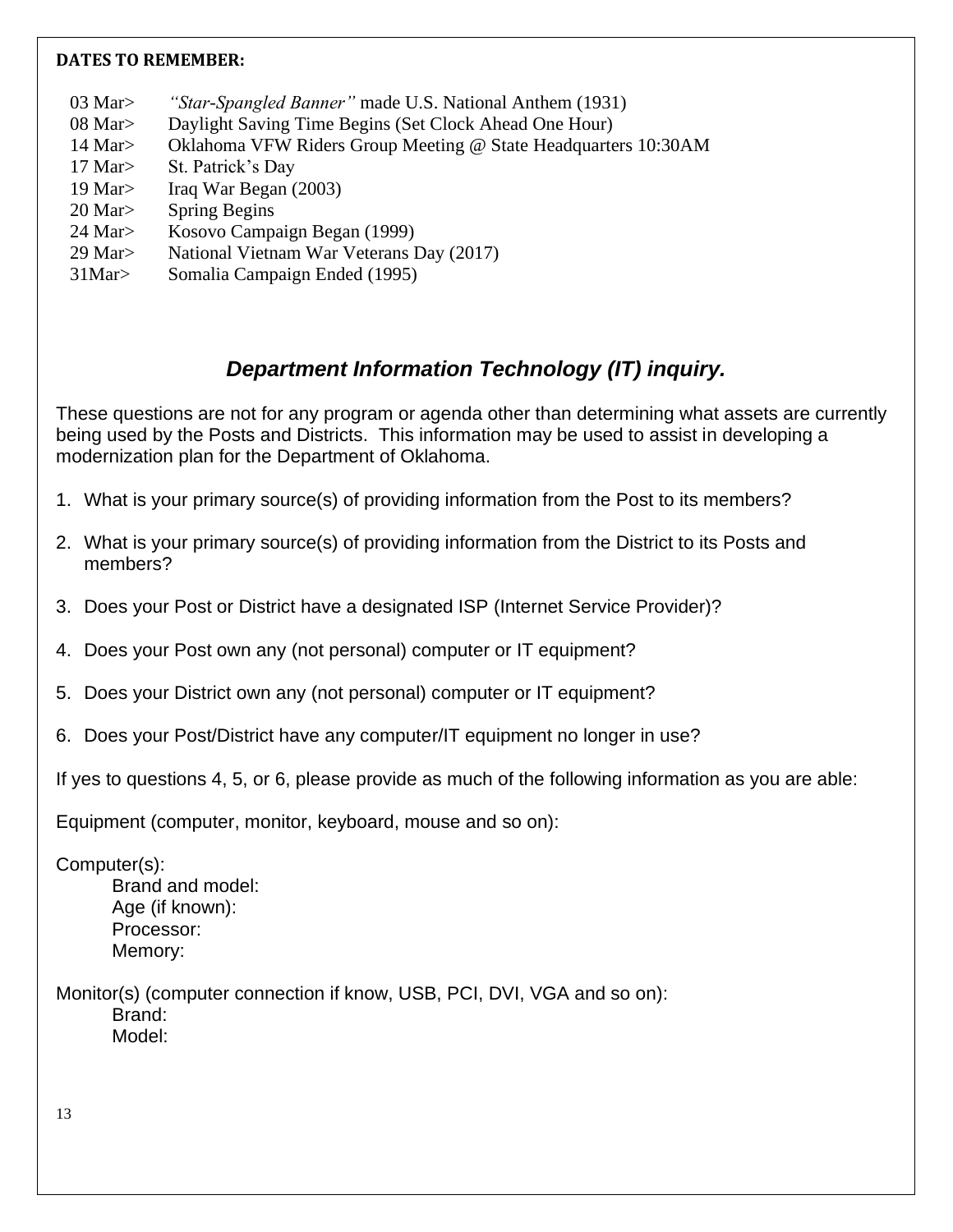#### **DATES TO REMEMBER:**

- 03 Mar> *"Star-Spangled Banner"* made U.S. National Anthem (1931)
- 08 Mar> Daylight Saving Time Begins (Set Clock Ahead One Hour)
- 14 Mar> Oklahoma VFW Riders Group Meeting @ State Headquarters 10:30AM
- 17 Mar> St. Patrick's Day
- 19 Mar> Iraq War Began (2003)
- 20 Mar> Spring Begins
- 24 Mar> Kosovo Campaign Began (1999)
- 29 Mar> National Vietnam War Veterans Day (2017)
- 31Mar> Somalia Campaign Ended (1995)

### *Department Information Technology (IT) inquiry.*

These questions are not for any program or agenda other than determining what assets are currently being used by the Posts and Districts. This information may be used to assist in developing a modernization plan for the Department of Oklahoma.

- 1. What is your primary source(s) of providing information from the Post to its members?
- 2. What is your primary source(s) of providing information from the District to its Posts and members?
- 3. Does your Post or District have a designated ISP (Internet Service Provider)?
- 4. Does your Post own any (not personal) computer or IT equipment?
- 5. Does your District own any (not personal) computer or IT equipment?
- 6. Does your Post/District have any computer/IT equipment no longer in use?

If yes to questions 4, 5, or 6, please provide as much of the following information as you are able:

Equipment (computer, monitor, keyboard, mouse and so on):

Computer(s):

Brand and model: Age (if known): Processor: Memory:

Monitor(s) (computer connection if know, USB, PCI, DVI, VGA and so on): Brand: Model: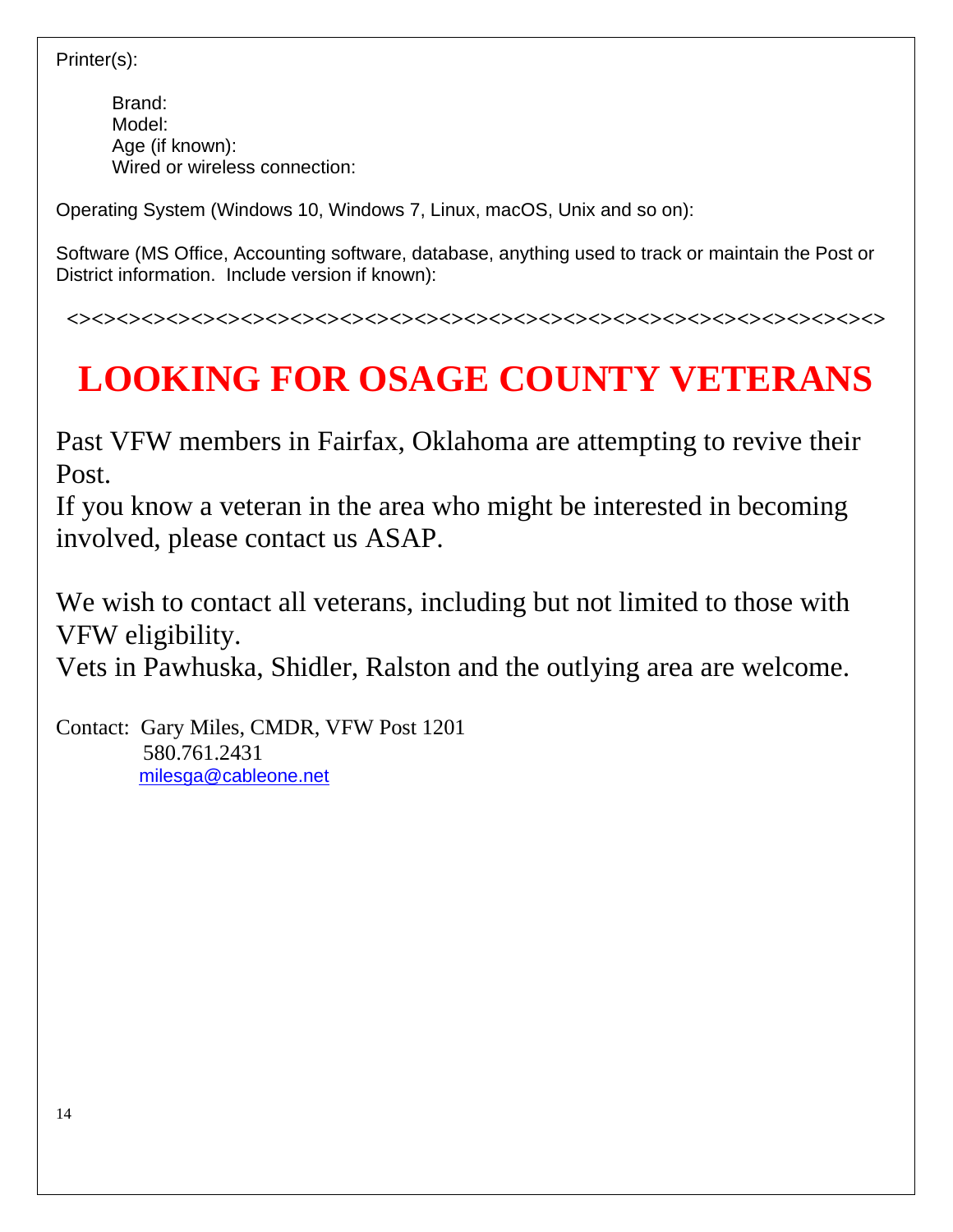#### Printer(s):

Brand: Model: Age (if known): Wired or wireless connection:

Operating System (Windows 10, Windows 7, Linux, macOS, Unix and so on):

Software (MS Office, Accounting software, database, anything used to track or maintain the Post or District information. Include version if known):

## **LOOKING FOR OSAGE COUNTY VETERANS**

**<><><><><><><><><><><><><><><><><><><><><><><><><><><><><><><><><>**

Past VFW members in Fairfax, Oklahoma are attempting to revive their Post.

If you know a veteran in the area who might be interested in becoming involved, please contact us ASAP.

We wish to contact all veterans, including but not limited to those with VFW eligibility.

Vets in Pawhuska, Shidler, Ralston and the outlying area are welcome.

Contact: Gary Miles, CMDR, VFW Post 1201 580.761.2431 [milesga@cableone.net](mailto:milesga@cableone.net)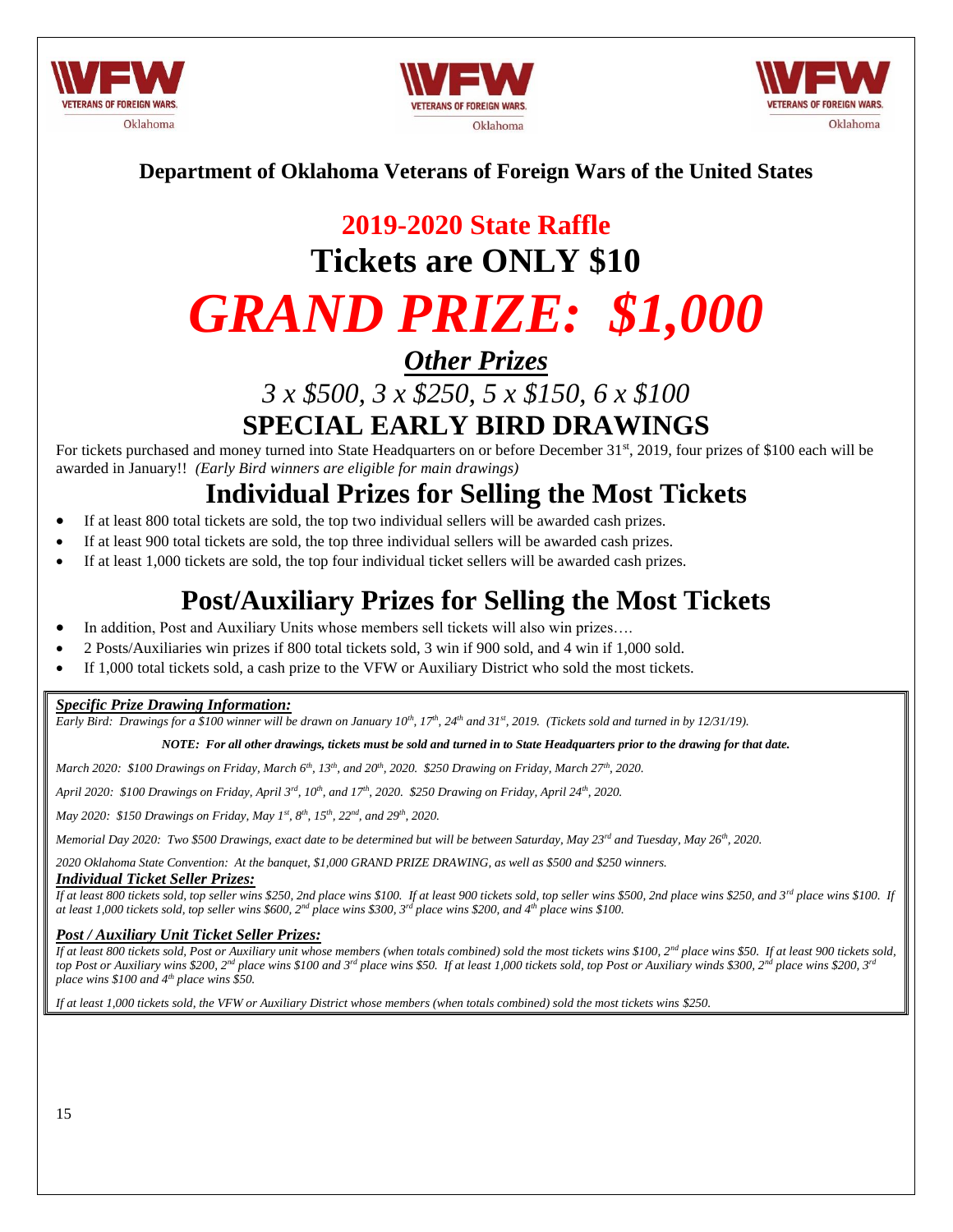





#### **Department of Oklahoma Veterans of Foreign Wars of the United States**

### **2019-2020 State Raffle Tickets are ONLY \$10**

# *GRAND PRIZE: \$1,000*

*Other Prizes*

*3 x \$500, 3 x \$250, 5 x \$150, 6 x \$100*

**SPECIAL EARLY BIRD DRAWINGS**

For tickets purchased and money turned into State Headquarters on or before December 31<sup>st</sup>, 2019, four prizes of \$100 each will be awarded in January!! *(Early Bird winners are eligible for main drawings)*

### **Individual Prizes for Selling the Most Tickets**

- If at least 800 total tickets are sold, the top two individual sellers will be awarded cash prizes.
- If at least 900 total tickets are sold, the top three individual sellers will be awarded cash prizes.
- If at least 1,000 tickets are sold, the top four individual ticket sellers will be awarded cash prizes.

### **Post/Auxiliary Prizes for Selling the Most Tickets**

- In addition, Post and Auxiliary Units whose members sell tickets will also win prizes….
- 2 Posts/Auxiliaries win prizes if 800 total tickets sold, 3 win if 900 sold, and 4 win if 1,000 sold.
- If 1,000 total tickets sold, a cash prize to the VFW or Auxiliary District who sold the most tickets.

#### *Specific Prize Drawing Information:*

*Early Bird: Drawings for a \$100 winner will be drawn on January*  $10^{th}$ *,*  $17^{th}$ *,*  $24^{th}$  *and*  $31^{st}$ *, 2019. (Tickets sold and turned in by 12/31/19).* 

*NOTE: For all other drawings, tickets must be sold and turned in to State Headquarters prior to the drawing for that date.*

*March 2020: \$100 Drawings on Friday, March 6th, 13th, and 20th, 2020. \$250 Drawing on Friday, March 27th , 2020.*

*April 2020: \$100 Drawings on Friday, April 3rd, 10th, and 17th, 2020. \$250 Drawing on Friday, April 24th, 2020.*

*May 2020: \$150 Drawings on Friday, May 1st, 8th, 15th, 22nd, and 29th, 2020.*

*Memorial Day 2020: Two \$500 Drawings, exact date to be determined but will be between Saturday, May 23rd and Tuesday, May 26th, 2020.*

*2020 Oklahoma State Convention: At the banquet, \$1,000 GRAND PRIZE DRAWING, as well as \$500 and \$250 winners.*

#### *Individual Ticket Seller Prizes:*

*If at least 800 tickets sold, top seller wins \$250, 2nd place wins \$100. If at least 900 tickets sold, top seller wins \$500, 2nd place wins \$250, and 3rd place wins \$100. If at least 1,000 tickets sold, top seller wins \$600, 2nd place wins \$300, 3rd place wins \$200, and 4th place wins \$100.*

#### *Post / Auxiliary Unit Ticket Seller Prizes:*

If at least 800 tickets sold, Post or Auxiliary unit whose members (when totals combined) sold the most tickets wins \$100, 2<sup>nd</sup> place wins \$50. If at least 900 tickets sold, *top Post or Auxiliary wins \$200, 2nd place wins \$100 and 3rd place wins \$50. If at least 1,000 tickets sold, top Post or Auxiliary winds \$300, 2nd place wins \$200, 3rd place wins \$100 and 4th place wins \$50.*

*If at least 1,000 tickets sold, the VFW or Auxiliary District whose members (when totals combined) sold the most tickets wins \$250.*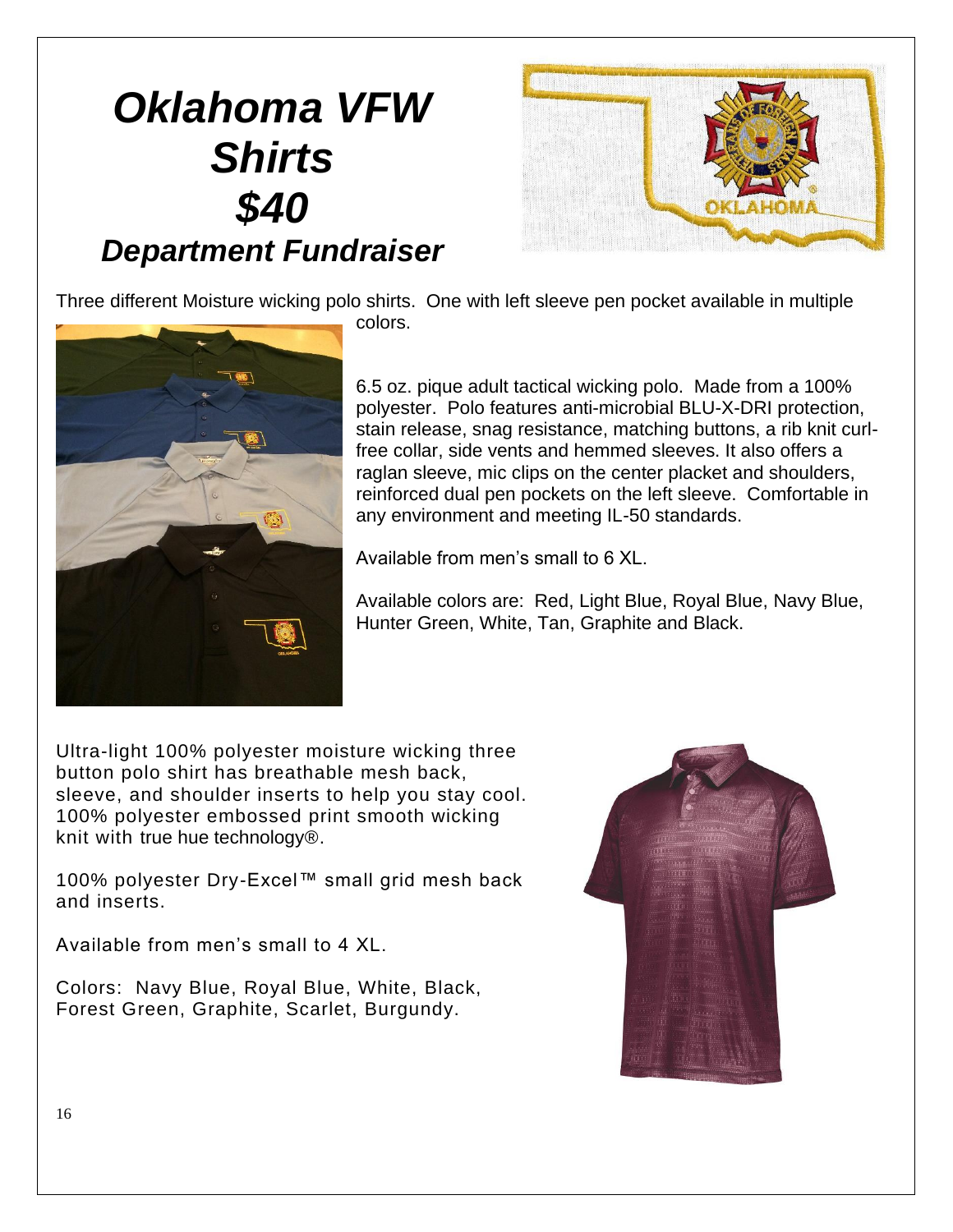# *Oklahoma VFW Shirts \$40 Department Fundraiser*



Three different Moisture wicking polo shirts. One with left sleeve pen pocket available in multiple

colors.

6.5 oz. pique adult tactical wicking polo. Made from a 100% polyester. Polo features anti-microbial BLU-X-DRI protection, stain release, snag resistance, matching buttons, a rib knit curlfree collar, side vents and hemmed sleeves. It also offers a raglan sleeve, mic clips on the center placket and shoulders, reinforced dual pen pockets on the left sleeve. Comfortable in any environment and meeting IL-50 standards.

Available from men's small to 6 XL.

Available colors are: Red, Light Blue, Royal Blue, Navy Blue, Hunter Green, White, Tan, Graphite and Black.

Ultra-light 100% polyester moisture wicking three button polo shirt has breathable mesh back, sleeve, and shoulder inserts to help you stay cool. 100% polyester embossed print smooth wicking knit with true hue technology®.

100% polyester Dry-Excel™ small grid mesh back and inserts.

Available from men's small to 4 XL.

Colors: Navy Blue, Royal Blue, White, Black, Forest Green, Graphite, Scarlet, Burgundy.